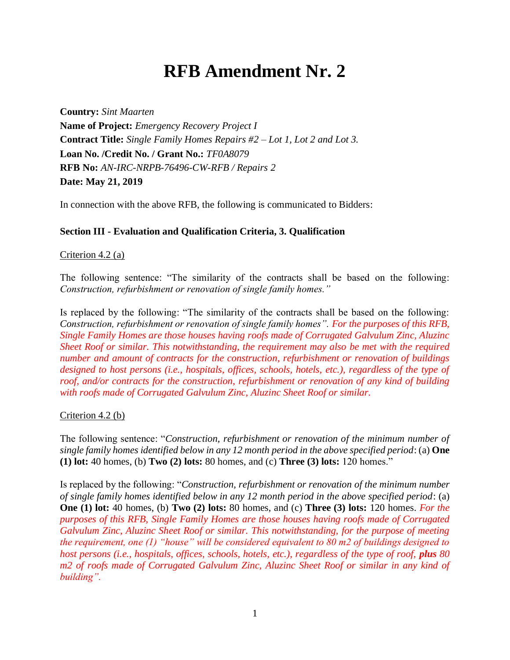# **RFB Amendment Nr. 2**

**Country:** *Sint Maarten* **Name of Project:** *Emergency Recovery Project I* **Contract Title:** *Single Family Homes Repairs #2 – Lot 1, Lot 2 and Lot 3.* **Loan No. /Credit No. / Grant No.:** *TF0A8079* **RFB No:** *AN-IRC-NRPB-76496-CW-RFB / Repairs 2* **Date: May 21, 2019**

In connection with the above RFB, the following is communicated to Bidders:

### **Section III - Evaluation and Qualification Criteria, 3. Qualification**

#### Criterion 4.2 (a)

The following sentence: "The similarity of the contracts shall be based on the following: *Construction, refurbishment or renovation of single family homes."*

Is replaced by the following: "The similarity of the contracts shall be based on the following: *Construction, refurbishment or renovation of single family homes". For the purposes of this RFB, Single Family Homes are those houses having roofs made of Corrugated Galvulum Zinc, Aluzinc Sheet Roof or similar. This notwithstanding, the requirement may also be met with the required number and amount of contracts for the construction, refurbishment or renovation of buildings designed to host persons (i.e., hospitals, offices, schools, hotels, etc.), regardless of the type of roof, and/or contracts for the construction, refurbishment or renovation of any kind of building with roofs made of Corrugated Galvulum Zinc, Aluzinc Sheet Roof or similar.*

### Criterion 4.2 (b)

The following sentence: "*Construction, refurbishment or renovation of the minimum number of single family homes identified below in any 12 month period in the above specified period*: (a) **One (1) lot:** 40 homes, (b) **Two (2) lots:** 80 homes, and (c) **Three (3) lots:** 120 homes."

Is replaced by the following: "*Construction, refurbishment or renovation of the minimum number of single family homes identified below in any 12 month period in the above specified period*: (a) **One (1) lot:** 40 homes, (b) **Two (2) lots:** 80 homes, and (c) **Three (3) lots:** 120 homes. *For the purposes of this RFB, Single Family Homes are those houses having roofs made of Corrugated Galvulum Zinc, Aluzinc Sheet Roof or similar. This notwithstanding, for the purpose of meeting the requirement, one (1) "house" will be considered equivalent to 80 m2 of buildings designed to host persons (i.e., hospitals, offices, schools, hotels, etc.), regardless of the type of roof, plus 80 m2 of roofs made of Corrugated Galvulum Zinc, Aluzinc Sheet Roof or similar in any kind of building".*